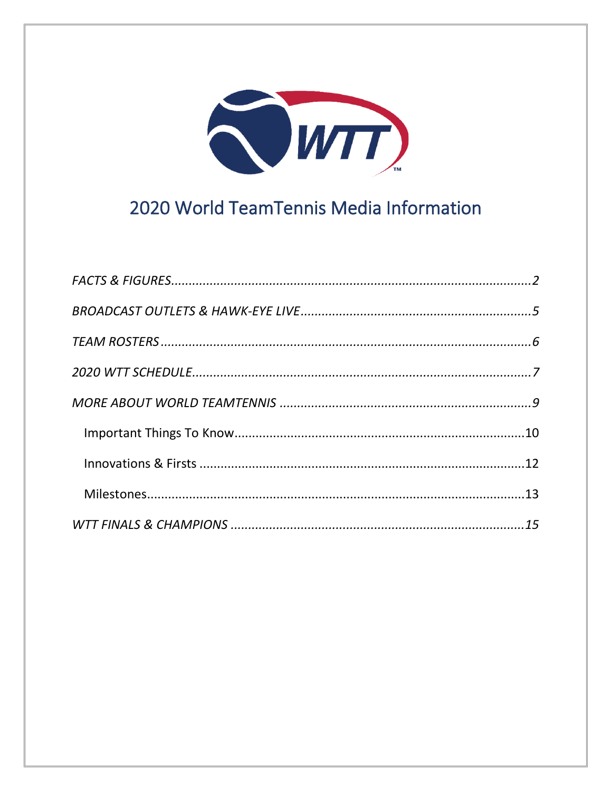

# 2020 World TeamTennis Media Information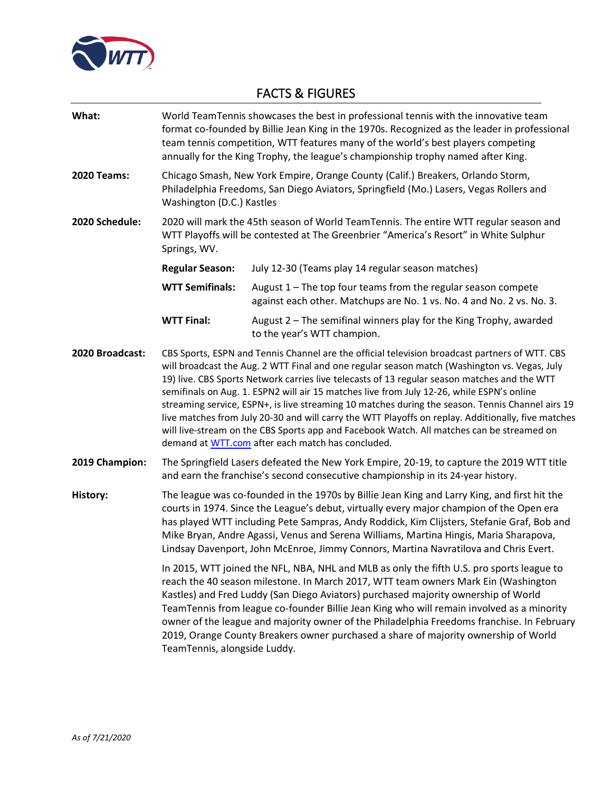

# <span id="page-1-0"></span>FACTS & FIGURES

| What:              | World TeamTennis showcases the best in professional tennis with the innovative team<br>format co-founded by Billie Jean King in the 1970s. Recognized as the leader in professional<br>team tennis competition, WTT features many of the world's best players competing<br>annually for the King Trophy, the league's championship trophy named after King.                                                                                                                                                                                                                                                                                                                                                                                             |                                                                                                                                          |  |  |  |
|--------------------|---------------------------------------------------------------------------------------------------------------------------------------------------------------------------------------------------------------------------------------------------------------------------------------------------------------------------------------------------------------------------------------------------------------------------------------------------------------------------------------------------------------------------------------------------------------------------------------------------------------------------------------------------------------------------------------------------------------------------------------------------------|------------------------------------------------------------------------------------------------------------------------------------------|--|--|--|
| <b>2020 Teams:</b> | Chicago Smash, New York Empire, Orange County (Calif.) Breakers, Orlando Storm,<br>Philadelphia Freedoms, San Diego Aviators, Springfield (Mo.) Lasers, Vegas Rollers and<br>Washington (D.C.) Kastles                                                                                                                                                                                                                                                                                                                                                                                                                                                                                                                                                  |                                                                                                                                          |  |  |  |
| 2020 Schedule:     | 2020 will mark the 45th season of World TeamTennis. The entire WTT regular season and<br>WTT Playoffs will be contested at The Greenbrier "America's Resort" in White Sulphur<br>Springs, WV.                                                                                                                                                                                                                                                                                                                                                                                                                                                                                                                                                           |                                                                                                                                          |  |  |  |
|                    | <b>Regular Season:</b>                                                                                                                                                                                                                                                                                                                                                                                                                                                                                                                                                                                                                                                                                                                                  | July 12-30 (Teams play 14 regular season matches)                                                                                        |  |  |  |
|                    | <b>WTT Semifinals:</b>                                                                                                                                                                                                                                                                                                                                                                                                                                                                                                                                                                                                                                                                                                                                  | August $1$ – The top four teams from the regular season compete<br>against each other. Matchups are No. 1 vs. No. 4 and No. 2 vs. No. 3. |  |  |  |
|                    | <b>WTT Final:</b>                                                                                                                                                                                                                                                                                                                                                                                                                                                                                                                                                                                                                                                                                                                                       | August 2 - The semifinal winners play for the King Trophy, awarded<br>to the year's WTT champion.                                        |  |  |  |
| 2020 Broadcast:    | CBS Sports, ESPN and Tennis Channel are the official television broadcast partners of WTT. CBS<br>will broadcast the Aug. 2 WTT Final and one regular season match (Washington vs. Vegas, July<br>19) live. CBS Sports Network carries live telecasts of 13 regular season matches and the WTT<br>semifinals on Aug. 1. ESPN2 will air 15 matches live from July 12-26, while ESPN's online<br>streaming service, ESPN+, is live streaming 10 matches during the season. Tennis Channel airs 19<br>live matches from July 20-30 and will carry the WTT Playoffs on replay. Additionally, five matches<br>will live-stream on the CBS Sports app and Facebook Watch. All matches can be streamed on<br>demand at WTT.com after each match has concluded. |                                                                                                                                          |  |  |  |
| 2019 Champion:     | The Springfield Lasers defeated the New York Empire, 20-19, to capture the 2019 WTT title<br>and earn the franchise's second consecutive championship in its 24-year history.                                                                                                                                                                                                                                                                                                                                                                                                                                                                                                                                                                           |                                                                                                                                          |  |  |  |
| <b>History:</b>    | The league was co-founded in the 1970s by Billie Jean King and Larry King, and first hit the<br>courts in 1974. Since the League's debut, virtually every major champion of the Open era<br>has played WTT including Pete Sampras, Andy Roddick, Kim Clijsters, Stefanie Graf, Bob and<br>Mike Bryan, Andre Agassi, Venus and Serena Williams, Martina Hingis, Maria Sharapova,<br>Lindsay Davenport, John McEnroe, Jimmy Connors, Martina Navratilova and Chris Evert.                                                                                                                                                                                                                                                                                 |                                                                                                                                          |  |  |  |
|                    | In 2015, WTT joined the NFL, NBA, NHL and MLB as only the fifth U.S. pro sports league to<br>reach the 40 season milestone. In March 2017, WTT team owners Mark Ein (Washington<br>Kastles) and Fred Luddy (San Diego Aviators) purchased majority ownership of World<br>TeamTennis from league co-founder Billie Jean King who will remain involved as a minority<br>owner of the league and majority owner of the Philadelphia Freedoms franchise. In February<br>2019, Orange County Breakers owner purchased a share of majority ownership of World<br>TeamTennis, alongside Luddy.                                                                                                                                                                 |                                                                                                                                          |  |  |  |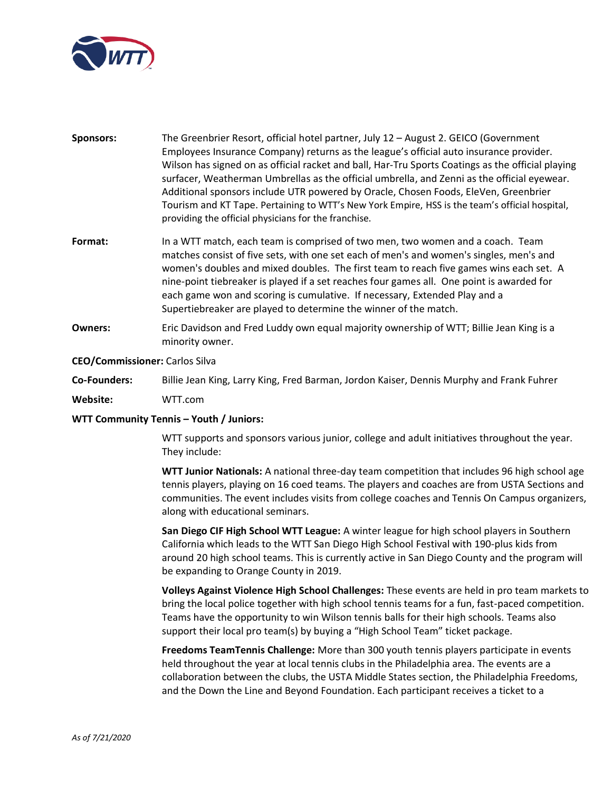

- **Sponsors:** The Greenbrier Resort, official hotel partner, July 12 August 2. GEICO (Government Employees Insurance Company) returns as the league's official auto insurance provider. Wilson has signed on as official racket and ball, Har-Tru Sports Coatings as the official playing surfacer, Weatherman Umbrellas as the official umbrella, and Zenni as the official eyewear. Additional sponsors include UTR powered by Oracle, Chosen Foods, EleVen, Greenbrier Tourism and KT Tape. Pertaining to WTT's New York Empire, HSS is the team's official hospital, providing the official physicians for the franchise.
- **Format:** In a WTT match, each team is comprised of two men, two women and a coach. Team matches consist of five sets, with one set each of men's and women's singles, men's and women's doubles and mixed doubles. The first team to reach five games wins each set. A nine-point tiebreaker is played if a set reaches four games all. One point is awarded for each game won and scoring is cumulative. If necessary, Extended Play and a Supertiebreaker are played to determine the winner of the match.
- **Owners:** Eric Davidson and Fred Luddy own equal majority ownership of WTT; Billie Jean King is a minority owner.

### **CEO/Commissioner:** Carlos Silva

**Co-Founders:** Billie Jean King, Larry King, Fred Barman, Jordon Kaiser, Dennis Murphy and Frank Fuhrer

**Website:** WTT.com

#### **WTT Community Tennis – Youth / Juniors:**

WTT supports and sponsors various junior, college and adult initiatives throughout the year. They include:

**WTT Junior Nationals:** A national three-day team competition that includes 96 high school age tennis players, playing on 16 coed teams. The players and coaches are from USTA Sections and communities. The event includes visits from college coaches and Tennis On Campus organizers, along with educational seminars.

**San Diego CIF High School WTT League:** A winter league for high school players in Southern California which leads to the WTT San Diego High School Festival with 190-plus kids from around 20 high school teams. This is currently active in San Diego County and the program will be expanding to Orange County in 2019.

**Volleys Against Violence High School Challenges:** These events are held in pro team markets to bring the local police together with high school tennis teams for a fun, fast-paced competition. Teams have the opportunity to win Wilson tennis balls for their high schools. Teams also support their local pro team(s) by buying a "High School Team" ticket package.

**Freedoms TeamTennis Challenge:** More than 300 youth tennis players participate in events held throughout the year at local tennis clubs in the Philadelphia area. The events are a collaboration between the clubs, the USTA Middle States section, the Philadelphia Freedoms, and the Down the Line and Beyond Foundation. Each participant receives a ticket to a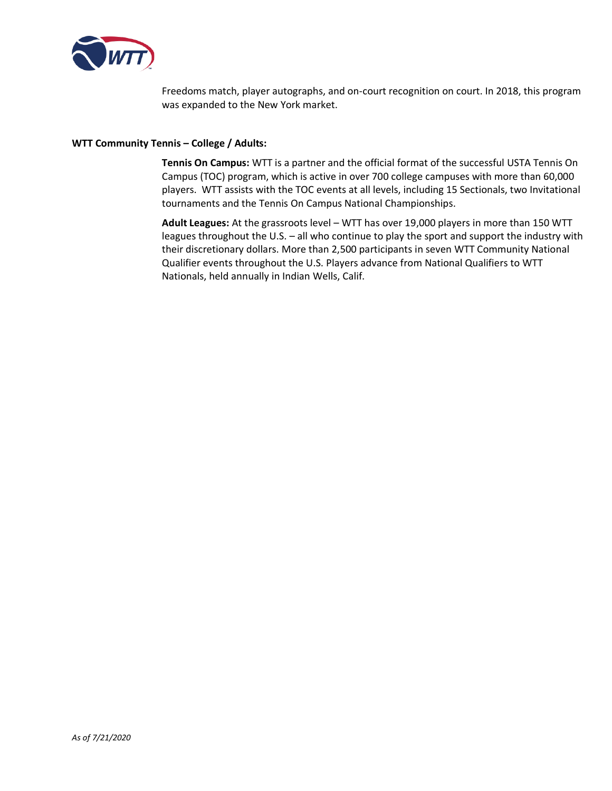

Freedoms match, player autographs, and on-court recognition on court. In 2018, this program was expanded to the New York market.

### **WTT Community Tennis – College / Adults:**

**Tennis On Campus:** WTT is a partner and the official format of the successful USTA Tennis On Campus (TOC) program, which is active in over 700 college campuses with more than 60,000 players. WTT assists with the TOC events at all levels, including 15 Sectionals, two Invitational tournaments and the Tennis On Campus National Championships.

**Adult Leagues:** At the grassroots level – WTT has over 19,000 players in more than 150 WTT leagues throughout the U.S. – all who continue to play the sport and support the industry with their discretionary dollars. More than 2,500 participants in seven WTT Community National Qualifier events throughout the U.S. Players advance from National Qualifiers to WTT Nationals, held annually in Indian Wells, Calif.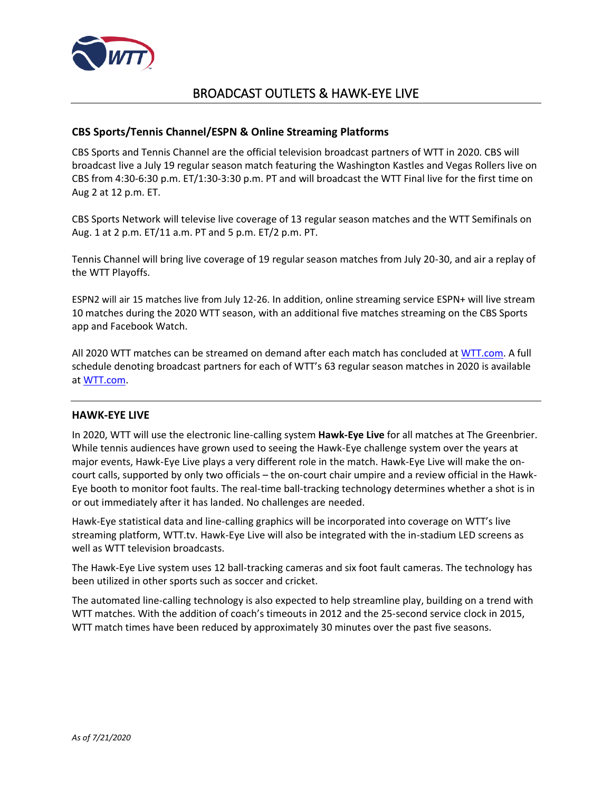

# BROADCAST OUTLETS & HAWK-EYE LIVE

# <span id="page-4-0"></span>**CBS Sports/Tennis Channel/ESPN & Online Streaming Platforms**

CBS Sports and Tennis Channel are the official television broadcast partners of WTT in 2020. CBS will broadcast live a July 19 regular season match featuring the Washington Kastles and Vegas Rollers live on CBS from 4:30-6:30 p.m. ET/1:30-3:30 p.m. PT and will broadcast the WTT Final live for the first time on Aug 2 at 12 p.m. ET.

CBS Sports Network will televise live coverage of 13 regular season matches and the WTT Semifinals on Aug. 1 at 2 p.m. ET/11 a.m. PT and 5 p.m. ET/2 p.m. PT.

Tennis Channel will bring live coverage of 19 regular season matches from July 20-30, and air a replay of the WTT Playoffs.

ESPN2 will air 15 matches live from July 12-26. In addition, online streaming service ESPN+ will live stream 10 matches during the 2020 WTT season, with an additional five matches streaming on the CBS Sports app and Facebook Watch.

All 2020 WTT matches can be streamed on demand after each match has concluded at WTT.com. A full schedule denoting broadcast partners for each of WTT's 63 regular season matches in 2020 is available at WTT.com.

# **HAWK-EYE LIVE**

In 2020, WTT will use the electronic line-calling system **Hawk-Eye Live** for all matches at The Greenbrier. While tennis audiences have grown used to seeing the Hawk-Eye challenge system over the years at major events, Hawk-Eye Live plays a very different role in the match. Hawk-Eye Live will make the oncourt calls, supported by only two officials – the on-court chair umpire and a review official in the Hawk-Eye booth to monitor foot faults. The real-time ball-tracking technology determines whether a shot is in or out immediately after it has landed. No challenges are needed.

Hawk-Eye statistical data and line-calling graphics will be incorporated into coverage on WTT's live streaming platform, WTT.tv. Hawk-Eye Live will also be integrated with the in-stadium LED screens as well as WTT television broadcasts.

The Hawk-Eye Live system uses 12 ball-tracking cameras and six foot fault cameras. The technology has been utilized in other sports such as soccer and cricket.

The automated line-calling technology is also expected to help streamline play, building on a trend with WTT matches. With the addition of coach's timeouts in 2012 and the 25-second service clock in 2015, WTT match times have been reduced by approximately 30 minutes over the past five seasons.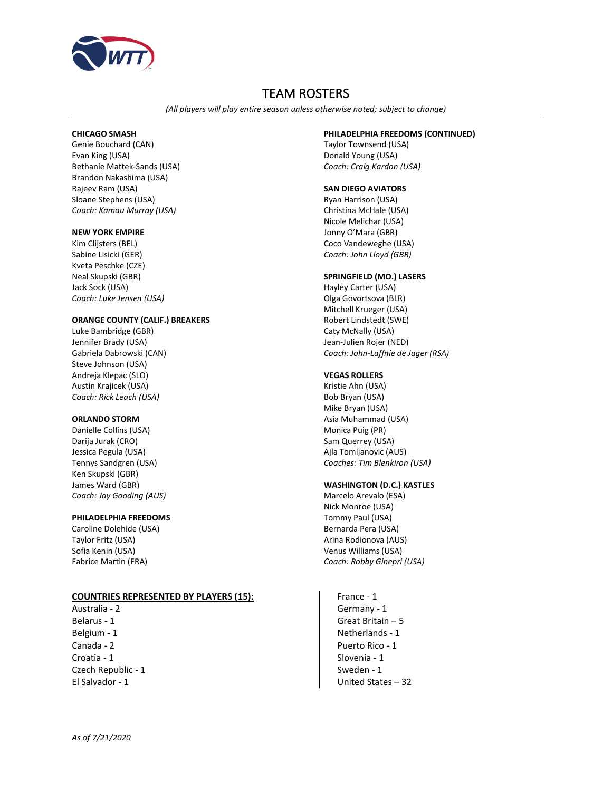

# TEAM ROSTERS

*(All players will play entire season unless otherwise noted; subject to change)*

#### <span id="page-5-0"></span>**CHICAGO SMASH**

Genie Bouchard (CAN) Evan King (USA) Bethanie Mattek-Sands (USA) Brandon Nakashima (USA) Rajeev Ram (USA) Sloane Stephens (USA) *Coach: Kamau Murray (USA)*

#### **NEW YORK EMPIRE**

Kim Clijsters (BEL) Sabine Lisicki (GER) Kveta Peschke (CZE) Neal Skupski (GBR) Jack Sock (USA) *Coach: Luke Jensen (USA)*

#### **ORANGE COUNTY (CALIF.) BREAKERS**

Luke Bambridge (GBR) Jennifer Brady (USA) Gabriela Dabrowski (CAN) Steve Johnson (USA) Andreja Klepac (SLO) Austin Krajicek (USA) *Coach: Rick Leach (USA)*

#### **ORLANDO STORM**

Danielle Collins (USA) Darija Jurak (CRO) Jessica Pegula (USA) Tennys Sandgren (USA) Ken Skupski (GBR) James Ward (GBR) *Coach: Jay Gooding (AUS)*

#### **PHILADELPHIA FREEDOMS**

Caroline Dolehide (USA) Taylor Fritz (USA) Sofia Kenin (USA) Fabrice Martin (FRA)

#### **COUNTRIES REPRESENTED BY PLAYERS (15):**

Australia - 2 Belarus - 1 Belgium - 1 Canada - 2 Croatia - 1 Czech Republic - 1 El Salvador - 1

#### **PHILADELPHIA FREEDOMS (CONTINUED)**

Taylor Townsend (USA) Donald Young (USA) *Coach: Craig Kardon (USA)*

#### **SAN DIEGO AVIATORS**

Ryan Harrison (USA) Christina McHale (USA) Nicole Melichar (USA) Jonny O'Mara (GBR) Coco Vandeweghe (USA) *Coach: John Lloyd (GBR)*

#### **SPRINGFIELD (MO.) LASERS**

Hayley Carter (USA) Olga Govortsova (BLR) Mitchell Krueger (USA) Robert Lindstedt (SWE) Caty McNally (USA) Jean-Julien Rojer (NED) *Coach: John-Laffnie de Jager (RSA)*

#### **VEGAS ROLLERS**

Kristie Ahn (USA) Bob Bryan (USA) Mike Bryan (USA) Asia Muhammad (USA) Monica Puig (PR) Sam Querrey (USA) Ajla Tomljanovic (AUS) *Coaches: Tim Blenkiron (USA)*

#### **WASHINGTON (D.C.) KASTLES**

Marcelo Arevalo (ESA) Nick Monroe (USA) Tommy Paul (USA) Bernarda Pera (USA) Arina Rodionova (AUS) Venus Williams (USA) *Coach: Robby Ginepri (USA)*

France - 1 Germany - 1 Great Britain – 5 Netherlands - 1 Puerto Rico - 1 Slovenia - 1 Sweden - 1 United States – 32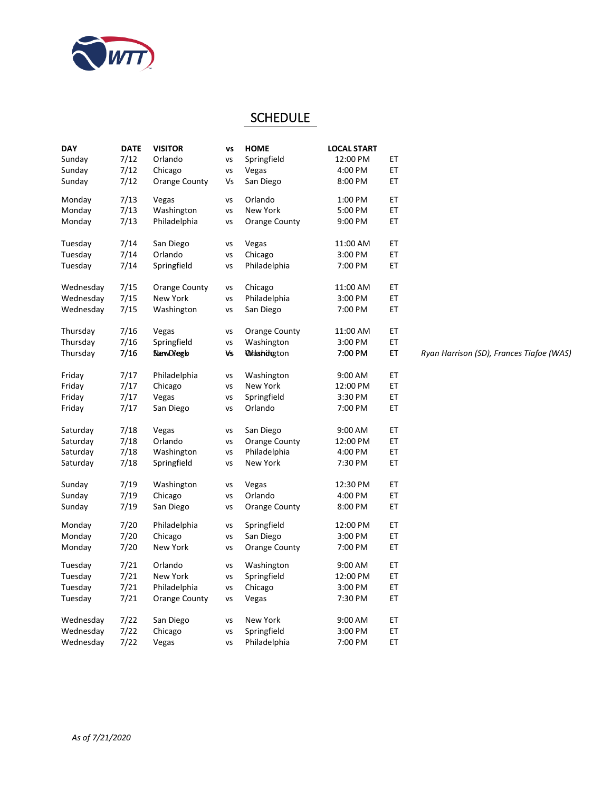

# **SCHEDULE**

| <b>DAY</b> | <b>DATE</b> | <b>VISITOR</b>       | <b>VS</b> | <b>HOME</b>                 | <b>LOCAL START</b> |    |                                          |
|------------|-------------|----------------------|-----------|-----------------------------|--------------------|----|------------------------------------------|
| Sunday     | 7/12        | Orlando              | VS        | Springfield                 | 12:00 PM           | EТ |                                          |
| Sunday     | 7/12        | Chicago              | VS        | Vegas                       | 4:00 PM            | ET |                                          |
| Sunday     | 7/12        | <b>Orange County</b> | Vs        | San Diego                   | 8:00 PM            | ЕT |                                          |
| Monday     | 7/13        | Vegas                | VS        | Orlando                     | 1:00 PM            | EТ |                                          |
| Monday     | 7/13        | Washington           | VS        | New York                    | 5:00 PM            | ET |                                          |
| Monday     | 7/13        | Philadelphia         | VS        | Orange County               | 9:00 PM            | ET |                                          |
| Tuesday    | 7/14        | San Diego            | VS        | Vegas                       | 11:00 AM           | ЕT |                                          |
| Tuesday    | 7/14        | Orlando              | VS        | Chicago                     | 3:00 PM            | ET |                                          |
| Tuesday    | 7/14        | Springfield          | VS        | Philadelphia                | 7:00 PM            | ET |                                          |
| Wednesday  | 7/15        | Orange County        | vs        | Chicago                     | 11:00 AM           | ET |                                          |
| Wednesday  | 7/15        | New York             | VS        | Philadelphia                | 3:00 PM            | ET |                                          |
| Wednesday  | 7/15        | Washington           | VS        | San Diego                   | 7:00 PM            | ЕT |                                          |
| Thursday   | 7/16        | Vegas                | VS        | Orange County               | 11:00 AM           | ЕT |                                          |
| Thursday   | 7/16        | Springfield          | VS        | Washington                  | 3:00 PM            | ET |                                          |
| Thursday   | 7/16        | <b>SlawDiegb</b>     | Vs        | <b><i>Ortashidgeton</i></b> | 7:00 PM            | EТ | Ryan Harrison (SD), Frances Tiafoe (WAS) |
| Friday     | 7/17        | Philadelphia         | vs        | Washington                  | 9:00 AM            | ЕT |                                          |
| Friday     | 7/17        | Chicago              | VS        | New York                    | 12:00 PM           | ET |                                          |
| Friday     | 7/17        | Vegas                | VS        | Springfield                 | 3:30 PM            | ЕT |                                          |
| Friday     | 7/17        | San Diego            | VS        | Orlando                     | 7:00 PM            | ET |                                          |
| Saturday   | 7/18        | Vegas                | VS        | San Diego                   | 9:00 AM            | ЕT |                                          |
| Saturday   | 7/18        | Orlando              | VS        | <b>Orange County</b>        | 12:00 PM           | ЕT |                                          |
| Saturday   | 7/18        | Washington           | VS        | Philadelphia                | 4:00 PM            | ET |                                          |
| Saturday   | 7/18        | Springfield          | VS        | New York                    | 7:30 PM            | ЕT |                                          |
| Sunday     | 7/19        | Washington           | VS        | Vegas                       | 12:30 PM           | EТ |                                          |
| Sunday     | 7/19        | Chicago              | VS        | Orlando                     | 4:00 PM            | ET |                                          |
| Sunday     | 7/19        | San Diego            | VS        | <b>Orange County</b>        | 8:00 PM            | ЕT |                                          |
| Monday     | 7/20        | Philadelphia         | VS        | Springfield                 | 12:00 PM           | ET |                                          |
| Monday     | 7/20        | Chicago              | VS        | San Diego                   | 3:00 PM            | ET |                                          |
| Monday     | 7/20        | New York             | VS        | <b>Orange County</b>        | 7:00 PM            | ЕT |                                          |
| Tuesday    | 7/21        | Orlando              | VS        | Washington                  | 9:00 AM            | ET |                                          |
| Tuesday    | 7/21        | New York             | VS        | Springfield                 | 12:00 PM           | ET |                                          |
| Tuesday    | 7/21        | Philadelphia         | VS        | Chicago                     | 3:00 PM            | ET |                                          |
| Tuesday    | 7/21        | Orange County        | VS        | Vegas                       | 7:30 PM            | ЕT |                                          |
| Wednesday  | 7/22        | San Diego            | vs        | New York                    | 9:00 AM            | ЕT |                                          |
| Wednesday  | 7/22        | Chicago              | VS        | Springfield                 | 3:00 PM            | ET |                                          |
| Wednesday  | 7/22        | Vegas                | vs        | Philadelphia                | 7:00 PM            | ET |                                          |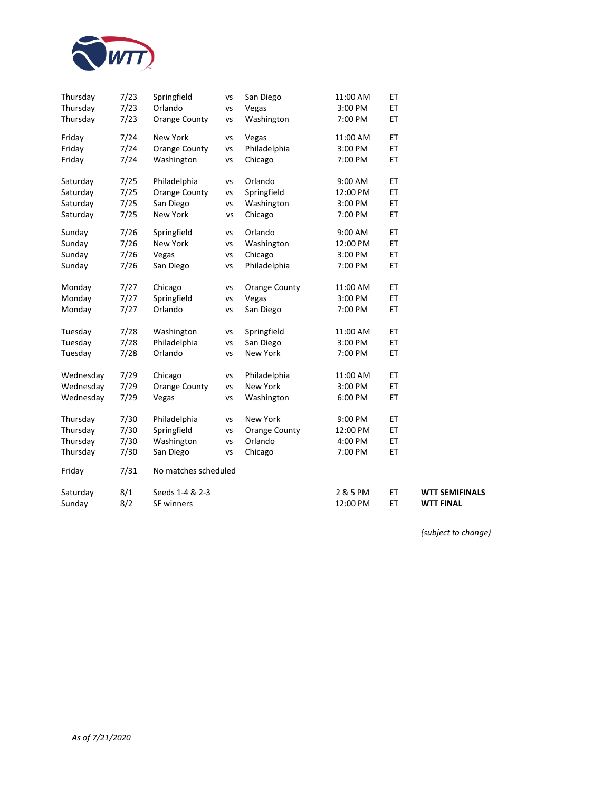

| Thursday  | 7/23 | Springfield          | vs | San Diego            | 11:00 AM | ET  |                       |
|-----------|------|----------------------|----|----------------------|----------|-----|-----------------------|
| Thursday  | 7/23 | Orlando              | VS | Vegas                | 3:00 PM  | ET  |                       |
| Thursday  | 7/23 | Orange County        | vs | Washington           | 7:00 PM  | ET  |                       |
| Friday    | 7/24 | New York             | vs | Vegas                | 11:00 AM | ET  |                       |
| Friday    | 7/24 | <b>Orange County</b> | vs | Philadelphia         | 3:00 PM  | ET  |                       |
| Friday    | 7/24 | Washington           | VS | Chicago              | 7:00 PM  | ET  |                       |
| Saturday  | 7/25 | Philadelphia         | vs | Orlando              | 9:00 AM  | ET  |                       |
| Saturday  | 7/25 | <b>Orange County</b> | VS | Springfield          | 12:00 PM | ET  |                       |
| Saturday  | 7/25 | San Diego            | VS | Washington           | 3:00 PM  | ET  |                       |
| Saturday  | 7/25 | New York             | vs | Chicago              | 7:00 PM  | ET  |                       |
| Sunday    | 7/26 | Springfield          | vs | Orlando              | 9:00 AM  | ET  |                       |
| Sunday    | 7/26 | New York             | vs | Washington           | 12:00 PM | ET  |                       |
| Sunday    | 7/26 | Vegas                | vs | Chicago              | 3:00 PM  | ET  |                       |
| Sunday    | 7/26 | San Diego            | vs | Philadelphia         | 7:00 PM  | ET  |                       |
| Monday    | 7/27 | Chicago              | vs | <b>Orange County</b> | 11:00 AM | ET  |                       |
| Monday    | 7/27 | Springfield          | VS | Vegas                | 3:00 PM  | ET  |                       |
| Monday    | 7/27 | Orlando              | vs | San Diego            | 7:00 PM  | ET  |                       |
| Tuesday   | 7/28 | Washington           | VS | Springfield          | 11:00 AM | ET  |                       |
| Tuesday   | 7/28 | Philadelphia         | vs | San Diego            | 3:00 PM  | ET  |                       |
| Tuesday   | 7/28 | Orlando              | VS | New York             | 7:00 PM  | ET. |                       |
| Wednesday | 7/29 | Chicago              | vs | Philadelphia         | 11:00 AM | ET  |                       |
| Wednesday | 7/29 | Orange County        | vs | New York             | 3:00 PM  | ET  |                       |
| Wednesday | 7/29 | Vegas                | vs | Washington           | 6:00 PM  | ET  |                       |
| Thursday  | 7/30 | Philadelphia         | VS | New York             | 9:00 PM  | ET  |                       |
| Thursday  | 7/30 | Springfield          | vs | <b>Orange County</b> | 12:00 PM | ET  |                       |
| Thursday  | 7/30 | Washington           | vs | Orlando              | 4:00 PM  | ET  |                       |
| Thursday  | 7/30 | San Diego            | VS | Chicago              | 7:00 PM  | ET  |                       |
| Friday    | 7/31 | No matches scheduled |    |                      |          |     |                       |
| Saturday  | 8/1  | Seeds 1-4 & 2-3      |    |                      | 2 & 5 PM | ЕT  | <b>WTT SEMIFINALS</b> |
| Sunday    | 8/2  | SF winners           |    |                      | 12:00 PM | ET  | <b>WTT FINAL</b>      |

*(subject to change)*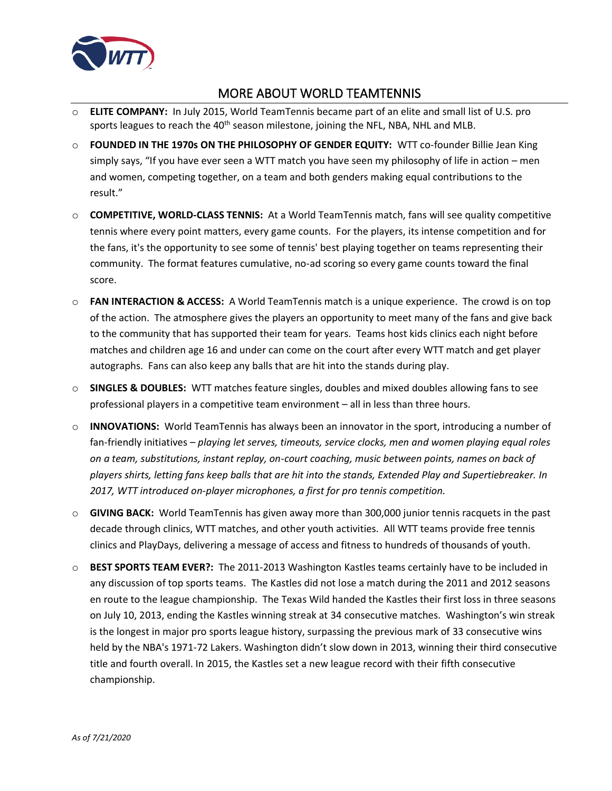

# MORE ABOUT WORLD TEAMTENNIS

- <span id="page-8-0"></span>o **ELITE COMPANY:** In July 2015, World TeamTennis became part of an elite and small list of U.S. pro sports leagues to reach the  $40<sup>th</sup>$  season milestone, joining the NFL, NBA, NHL and MLB.
- o **FOUNDED IN THE 1970s ON THE PHILOSOPHY OF GENDER EQUITY:** WTT co-founder Billie Jean King simply says, "If you have ever seen a WTT match you have seen my philosophy of life in action – men and women, competing together, on a team and both genders making equal contributions to the result."
- o **COMPETITIVE, WORLD-CLASS TENNIS:** At a World TeamTennis match, fans will see quality competitive tennis where every point matters, every game counts. For the players, its intense competition and for the fans, it's the opportunity to see some of tennis' best playing together on teams representing their community. The format features cumulative, no-ad scoring so every game counts toward the final score.
- o **FAN INTERACTION & ACCESS:** A World TeamTennis match is a unique experience. The crowd is on top of the action. The atmosphere gives the players an opportunity to meet many of the fans and give back to the community that has supported their team for years. Teams host kids clinics each night before matches and children age 16 and under can come on the court after every WTT match and get player autographs. Fans can also keep any balls that are hit into the stands during play.
- o **SINGLES & DOUBLES:** WTT matches feature singles, doubles and mixed doubles allowing fans to see professional players in a competitive team environment – all in less than three hours.
- o **INNOVATIONS:** World TeamTennis has always been an innovator in the sport, introducing a number of fan-friendly initiatives – *playing let serves, timeouts, service clocks, men and women playing equal roles on a team, substitutions, instant replay, on-court coaching, music between points, names on back of players shirts, letting fans keep balls that are hit into the stands, Extended Play and Supertiebreaker. In 2017, WTT introduced on-player microphones, a first for pro tennis competition.*
- o **GIVING BACK:** World TeamTennis has given away more than 300,000 junior tennis racquets in the past decade through clinics, WTT matches, and other youth activities. All WTT teams provide free tennis clinics and PlayDays, delivering a message of access and fitness to hundreds of thousands of youth.
- o **BEST SPORTS TEAM EVER?:** The 2011-2013 Washington Kastles teams certainly have to be included in any discussion of top sports teams. The Kastles did not lose a match during the 2011 and 2012 seasons en route to the league championship. The Texas Wild handed the Kastles their first loss in three seasons on July 10, 2013, ending the Kastles winning streak at 34 consecutive matches. Washington's win streak is the longest in major pro sports league history, surpassing the previous mark of 33 consecutive wins held by the NBA's 1971-72 Lakers. Washington didn't slow down in 2013, winning their third consecutive title and fourth overall. In 2015, the Kastles set a new league record with their fifth consecutive championship.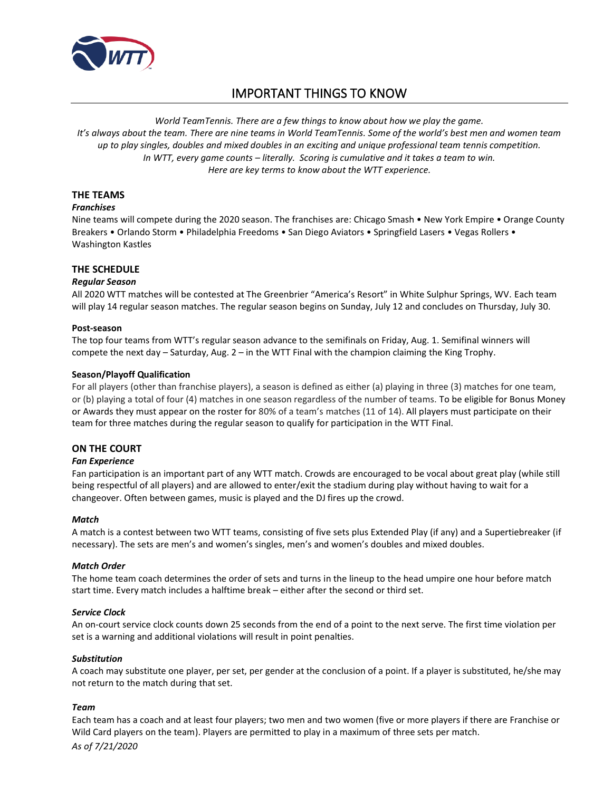

# IMPORTANT THINGS TO KNOW

<span id="page-9-0"></span>*World TeamTennis. There are a few things to know about how we play the game. It's always about the team. There are nine teams in World TeamTennis. Some of the world's best men and women team up to play singles, doubles and mixed doubles in an exciting and unique professional team tennis competition. In WTT, every game counts – literally. Scoring is cumulative and it takes a team to win. Here are key terms to know about the WTT experience.*

### **THE TEAMS**

#### *Franchises*

Nine teams will compete during the 2020 season. The franchises are: Chicago Smash • New York Empire • Orange County Breakers • Orlando Storm • Philadelphia Freedoms • San Diego Aviators • Springfield Lasers • Vegas Rollers • Washington Kastles

### **THE SCHEDULE**

#### *Regular Season*

All 2020 WTT matches will be contested at The Greenbrier "America's Resort" in White Sulphur Springs, WV. Each team will play 14 regular season matches. The regular season begins on Sunday, July 12 and concludes on Thursday, July 30.

#### **Post-season**

The top four teams from WTT's regular season advance to the semifinals on Friday, Aug. 1. Semifinal winners will compete the next day – Saturday, Aug. 2 – in the WTT Final with the champion claiming the King Trophy.

#### **Season/Playoff Qualification**

For all players (other than franchise players), a season is defined as either (a) playing in three (3) matches for one team, or (b) playing a total of four (4) matches in one season regardless of the number of teams. To be eligible for Bonus Money or Awards they must appear on the roster for 80% of a team's matches (11 of 14). All players must participate on their team for three matches during the regular season to qualify for participation in the WTT Final.

### **ON THE COURT**

#### *Fan Experience*

Fan participation is an important part of any WTT match. Crowds are encouraged to be vocal about great play (while still being respectful of all players) and are allowed to enter/exit the stadium during play without having to wait for a changeover. Often between games, music is played and the DJ fires up the crowd.

#### *Match*

A match is a contest between two WTT teams, consisting of five sets plus Extended Play (if any) and a Supertiebreaker (if necessary). The sets are men's and women's singles, men's and women's doubles and mixed doubles.

#### *Match Order*

The home team coach determines the order of sets and turns in the lineup to the head umpire one hour before match start time. Every match includes a halftime break – either after the second or third set.

#### *Service Clock*

An on-court service clock counts down 25 seconds from the end of a point to the next serve. The first time violation per set is a warning and additional violations will result in point penalties.

#### *Substitution*

A coach may substitute one player, per set, per gender at the conclusion of a point. If a player is substituted, he/she may not return to the match during that set.

### *Team*

Each team has a coach and at least four players; two men and two women (five or more players if there are Franchise or Wild Card players on the team). Players are permitted to play in a maximum of three sets per match.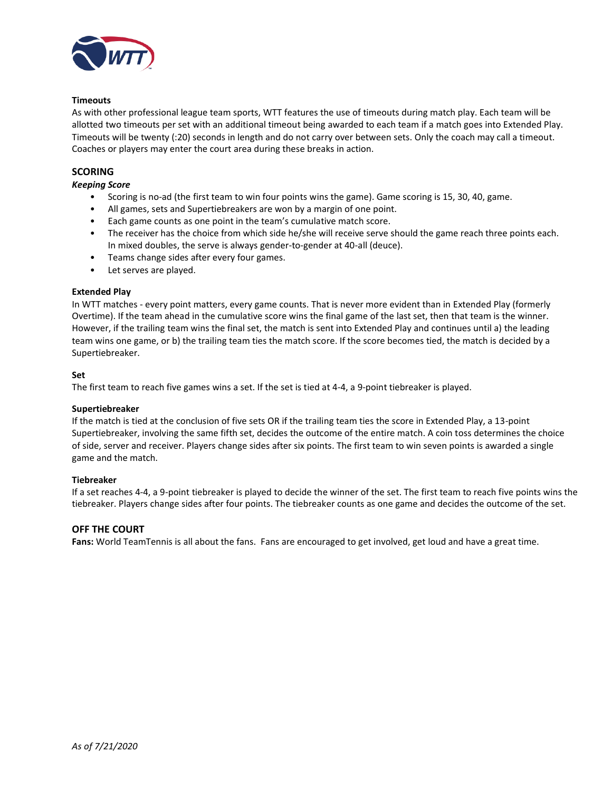

#### **Timeouts**

As with other professional league team sports, WTT features the use of timeouts during match play. Each team will be allotted two timeouts per set with an additional timeout being awarded to each team if a match goes into Extended Play. Timeouts will be twenty (:20) seconds in length and do not carry over between sets. Only the coach may call a timeout. Coaches or players may enter the court area during these breaks in action.

### **SCORING**

#### *Keeping Score*

- Scoring is no-ad (the first team to win four points wins the game). Game scoring is 15, 30, 40, game.
- All games, sets and Supertiebreakers are won by a margin of one point.
- Each game counts as one point in the team's cumulative match score.
- The receiver has the choice from which side he/she will receive serve should the game reach three points each. In mixed doubles, the serve is always gender-to-gender at 40-all (deuce).
- Teams change sides after every four games.
- Let serves are played.

#### **Extended Play**

In WTT matches - every point matters, every game counts. That is never more evident than in Extended Play (formerly Overtime). If the team ahead in the cumulative score wins the final game of the last set, then that team is the winner. However, if the trailing team wins the final set, the match is sent into Extended Play and continues until a) the leading team wins one game, or b) the trailing team ties the match score. If the score becomes tied, the match is decided by a Supertiebreaker.

#### **Set**

The first team to reach five games wins a set. If the set is tied at 4-4, a 9-point tiebreaker is played.

### **Supertiebreaker**

If the match is tied at the conclusion of five sets OR if the trailing team ties the score in Extended Play, a 13-point Supertiebreaker, involving the same fifth set, decides the outcome of the entire match. A coin toss determines the choice of side, server and receiver. Players change sides after six points. The first team to win seven points is awarded a single game and the match.

#### **Tiebreaker**

If a set reaches 4-4, a 9-point tiebreaker is played to decide the winner of the set. The first team to reach five points wins the tiebreaker. Players change sides after four points. The tiebreaker counts as one game and decides the outcome of the set.

### **OFF THE COURT**

**Fans:** World TeamTennis is all about the fans. Fans are encouraged to get involved, get loud and have a great time.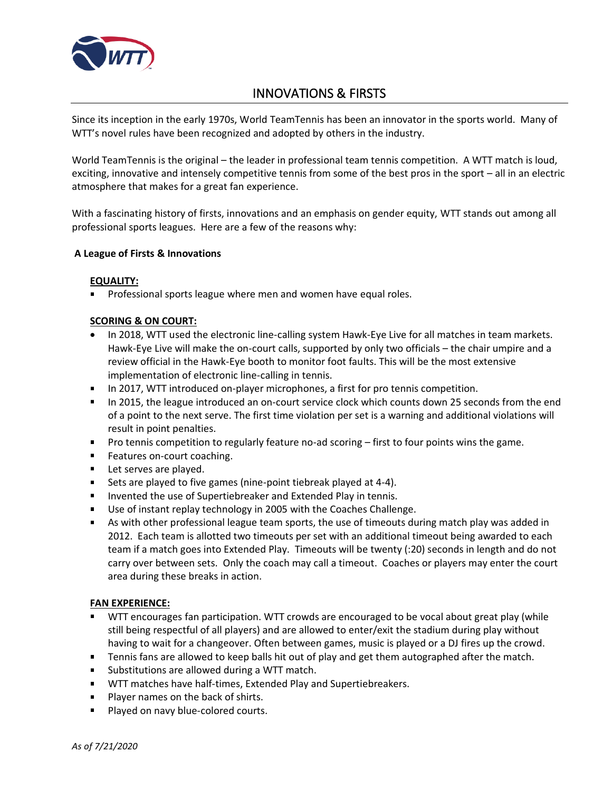

# INNOVATIONS & FIRSTS

<span id="page-11-0"></span>Since its inception in the early 1970s, World TeamTennis has been an innovator in the sports world. Many of WTT's novel rules have been recognized and adopted by others in the industry.

World TeamTennis is the original – the leader in professional team tennis competition. A WTT match is loud, exciting, innovative and intensely competitive tennis from some of the best pros in the sport – all in an electric atmosphere that makes for a great fan experience.

With a fascinating history of firsts, innovations and an emphasis on gender equity, WTT stands out among all professional sports leagues. Here are a few of the reasons why:

# **A League of Firsts & Innovations**

# **EQUALITY:**

Professional sports league where men and women have equal roles.

# **SCORING & ON COURT:**

- In 2018, WTT used the electronic line-calling system Hawk-Eye Live for all matches in team markets. Hawk-Eye Live will make the on-court calls, supported by only two officials – the chair umpire and a review official in the Hawk-Eye booth to monitor foot faults. This will be the most extensive implementation of electronic line-calling in tennis.
- In 2017, WTT introduced on-player microphones, a first for pro tennis competition.
- In 2015, the league introduced an on-court service clock which counts down 25 seconds from the end of a point to the next serve. The first time violation per set is a warning and additional violations will result in point penalties.
- **Pro tennis competition to regularly feature no-ad scoring first to four points wins the game.**
- **Features on-court coaching.**
- Let serves are played.
- Sets are played to five games (nine-point tiebreak played at 4-4).
- **IF Invented the use of Supertiebreaker and Extended Play in tennis.**
- Use of instant replay technology in 2005 with the Coaches Challenge.
- As with other professional league team sports, the use of timeouts during match play was added in 2012. Each team is allotted two timeouts per set with an additional timeout being awarded to each team if a match goes into Extended Play. Timeouts will be twenty (:20) seconds in length and do not carry over between sets. Only the coach may call a timeout. Coaches or players may enter the court area during these breaks in action.

# **FAN EXPERIENCE:**

- WTT encourages fan participation. WTT crowds are encouraged to be vocal about great play (while still being respectful of all players) and are allowed to enter/exit the stadium during play without having to wait for a changeover. Often between games, music is played or a DJ fires up the crowd.
- **Tennis fans are allowed to keep balls hit out of play and get them autographed after the match.**
- **Substitutions are allowed during a WTT match.**
- WTT matches have half-times, Extended Play and Supertiebreakers.
- **Player names on the back of shirts.**
- **Played on navy blue-colored courts.**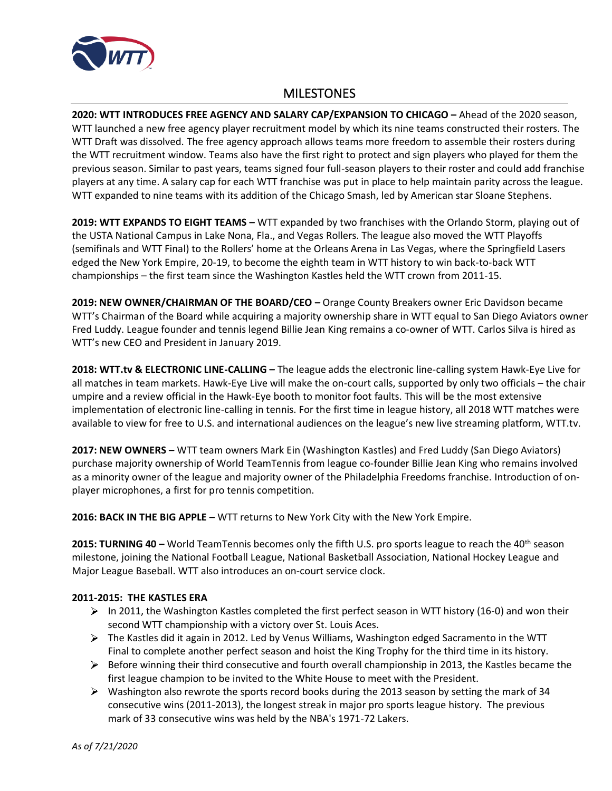

# **MILESTONES**

<span id="page-12-0"></span>**2020: WTT INTRODUCES FREE AGENCY AND SALARY CAP/EXPANSION TO CHICAGO –** Ahead of the 2020 season, WTT launched a new free agency player recruitment model by which its nine teams constructed their rosters. The WTT Draft was dissolved. The free agency approach allows teams more freedom to assemble their rosters during the WTT recruitment window. Teams also have the first right to protect and sign players who played for them the previous season. Similar to past years, teams signed four full-season players to their roster and could add franchise players at any time. A salary cap for each WTT franchise was put in place to help maintain parity across the league. WTT expanded to nine teams with its addition of the Chicago Smash, led by American star Sloane Stephens.

**2019: WTT EXPANDS TO EIGHT TEAMS –** WTT expanded by two franchises with the Orlando Storm, playing out of the USTA National Campus in Lake Nona, Fla., and Vegas Rollers. The league also moved the WTT Playoffs (semifinals and WTT Final) to the Rollers' home at the Orleans Arena in Las Vegas, where the Springfield Lasers edged the New York Empire, 20-19, to become the eighth team in WTT history to win back-to-back WTT championships – the first team since the Washington Kastles held the WTT crown from 2011-15.

**2019: NEW OWNER/CHAIRMAN OF THE BOARD/CEO –** Orange County Breakers owner Eric Davidson became WTT's Chairman of the Board while acquiring a majority ownership share in WTT equal to San Diego Aviators owner Fred Luddy. League founder and tennis legend Billie Jean King remains a co-owner of WTT. Carlos Silva is hired as WTT's new CEO and President in January 2019.

**2018: WTT.tv & ELECTRONIC LINE-CALLING –** The league adds the electronic line-calling system Hawk-Eye Live for all matches in team markets. Hawk-Eye Live will make the on-court calls, supported by only two officials – the chair umpire and a review official in the Hawk-Eye booth to monitor foot faults. This will be the most extensive implementation of electronic line-calling in tennis. For the first time in league history, all 2018 WTT matches were available to view for free to U.S. and international audiences on the league's new live streaming platform, WTT.tv.

**2017: NEW OWNERS –** WTT team owners Mark Ein (Washington Kastles) and Fred Luddy (San Diego Aviators) purchase majority ownership of World TeamTennis from league co-founder Billie Jean King who remains involved as a minority owner of the league and majority owner of the Philadelphia Freedoms franchise. Introduction of onplayer microphones, a first for pro tennis competition.

**2016: BACK IN THE BIG APPLE –** WTT returns to New York City with the New York Empire.

**2015: TURNING 40 –** World TeamTennis becomes only the fifth U.S. pro sports league to reach the 40th season milestone, joining the National Football League, National Basketball Association, National Hockey League and Major League Baseball. WTT also introduces an on-court service clock.

# **2011-2015: THE KASTLES ERA**

- $\triangleright$  In 2011, the Washington Kastles completed the first perfect season in WTT history (16-0) and won their second WTT championship with a victory over St. Louis Aces.
- $\triangleright$  The Kastles did it again in 2012. Led by Venus Williams, Washington edged Sacramento in the WTT Final to complete another perfect season and hoist the King Trophy for the third time in its history.
- $\triangleright$  Before winning their third consecutive and fourth overall championship in 2013, the Kastles became the first league champion to be invited to the White House to meet with the President.
- $\triangleright$  Washington also rewrote the sports record books during the 2013 season by setting the mark of 34 consecutive wins (2011-2013), the longest streak in major pro sports league history. The previous mark of 33 consecutive wins was held by the NBA's 1971-72 Lakers.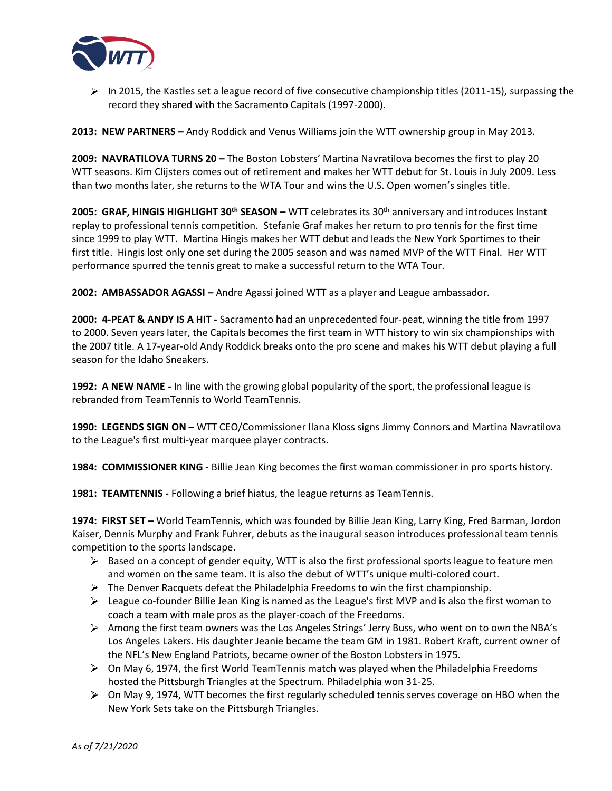

 $\triangleright$  In 2015, the Kastles set a league record of five consecutive championship titles (2011-15), surpassing the record they shared with the Sacramento Capitals (1997-2000).

**2013: NEW PARTNERS –** Andy Roddick and Venus Williams join the WTT ownership group in May 2013.

**2009: NAVRATILOVA TURNS 20 –** The Boston Lobsters' Martina Navratilova becomes the first to play 20 WTT seasons. Kim Clijsters comes out of retirement and makes her WTT debut for St. Louis in July 2009. Less than two months later, she returns to the WTA Tour and wins the U.S. Open women's singles title.

**2005: GRAF, HINGIS HIGHLIGHT 30th SEASON –** WTT celebrates its 30th anniversary and introduces Instant replay to professional tennis competition. Stefanie Graf makes her return to pro tennis for the first time since 1999 to play WTT. Martina Hingis makes her WTT debut and leads the New York Sportimes to their first title. Hingis lost only one set during the 2005 season and was named MVP of the WTT Final. Her WTT performance spurred the tennis great to make a successful return to the WTA Tour.

**2002: AMBASSADOR AGASSI –** Andre Agassi joined WTT as a player and League ambassador.

**2000: 4-PEAT & ANDY IS A HIT -** Sacramento had an unprecedented four-peat, winning the title from 1997 to 2000. Seven years later, the Capitals becomes the first team in WTT history to win six championships with the 2007 title. A 17-year-old Andy Roddick breaks onto the pro scene and makes his WTT debut playing a full season for the Idaho Sneakers.

**1992: A NEW NAME -** In line with the growing global popularity of the sport, the professional league is rebranded from TeamTennis to World TeamTennis.

**1990: LEGENDS SIGN ON –** WTT CEO/Commissioner Ilana Kloss signs Jimmy Connors and Martina Navratilova to the League's first multi-year marquee player contracts.

**1984: COMMISSIONER KING -** Billie Jean King becomes the first woman commissioner in pro sports history.

**1981: TEAMTENNIS -** Following a brief hiatus, the league returns as TeamTennis.

**1974: FIRST SET –** World TeamTennis, which was founded by Billie Jean King, Larry King, Fred Barman, Jordon Kaiser, Dennis Murphy and Frank Fuhrer, debuts as the inaugural season introduces professional team tennis competition to the sports landscape.

- $\triangleright$  Based on a concept of gender equity, WTT is also the first professional sports league to feature men and women on the same team. It is also the debut of WTT's unique multi-colored court.
- $\triangleright$  The Denver Racquets defeat the Philadelphia Freedoms to win the first championship.
- $\triangleright$  League co-founder Billie Jean King is named as the League's first MVP and is also the first woman to coach a team with male pros as the player-coach of the Freedoms.
- Among the first team owners was the Los Angeles Strings' Jerry Buss, who went on to own the NBA's Los Angeles Lakers. His daughter Jeanie became the team GM in 1981. Robert Kraft, current owner of the NFL's New England Patriots, became owner of the Boston Lobsters in 1975.
- $\triangleright$  On May 6, 1974, the first World TeamTennis match was played when the Philadelphia Freedoms hosted the Pittsburgh Triangles at the Spectrum. Philadelphia won 31-25.
- $\triangleright$  On May 9, 1974, WTT becomes the first regularly scheduled tennis serves coverage on HBO when the New York Sets take on the Pittsburgh Triangles.